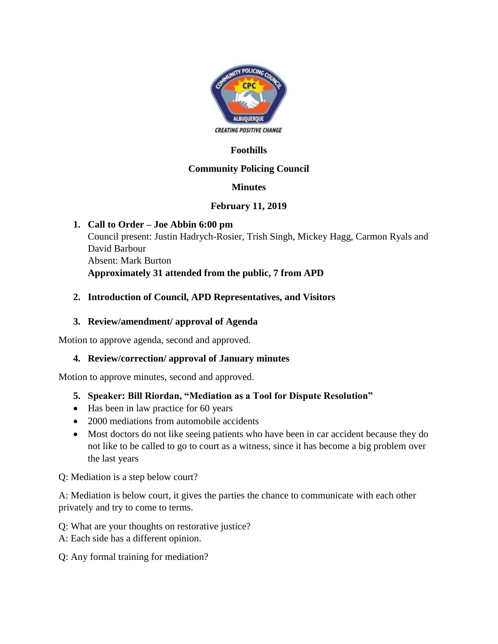

# **Foothills**

# **Community Policing Council**

# **Minutes**

#### **February 11, 2019**

#### **1. Call to Order – Joe Abbin 6:00 pm** Council present: Justin Hadrych-Rosier, Trish Singh, Mickey Hagg, Carmon Ryals and David Barbour Absent: Mark Burton **Approximately 31 attended from the public, 7 from APD**

#### **2. Introduction of Council, APD Representatives, and Visitors**

### **3. Review/amendment/ approval of Agenda**

Motion to approve agenda, second and approved.

# **4. Review/correction/ approval of January minutes**

Motion to approve minutes, second and approved.

# **5. Speaker: Bill Riordan, "Mediation as a Tool for Dispute Resolution"**

- Has been in law practice for 60 years
- 2000 mediations from automobile accidents
- Most doctors do not like seeing patients who have been in car accident because they do not like to be called to go to court as a witness, since it has become a big problem over the last years

Q: Mediation is a step below court?

A: Mediation is below court, it gives the parties the chance to communicate with each other privately and try to come to terms.

Q: What are your thoughts on restorative justice?

A: Each side has a different opinion.

Q: Any formal training for mediation?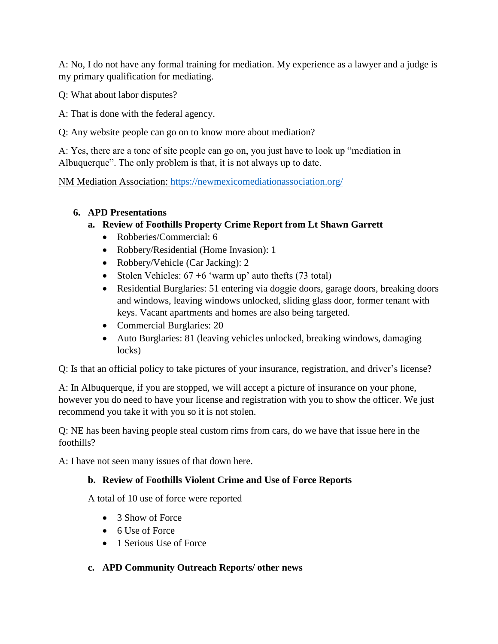A: No, I do not have any formal training for mediation. My experience as a lawyer and a judge is my primary qualification for mediating.

Q: What about labor disputes?

A: That is done with the federal agency.

Q: Any website people can go on to know more about mediation?

A: Yes, there are a tone of site people can go on, you just have to look up "mediation in Albuquerque". The only problem is that, it is not always up to date.

NM Mediation Association:<https://newmexicomediationassociation.org/>

#### **6. APD Presentations**

# **a. Review of Foothills Property Crime Report from Lt Shawn Garrett**

- Robberies/Commercial: 6
- Robbery/Residential (Home Invasion): 1
- Robbery/Vehicle (Car Jacking): 2
- Stolen Vehicles:  $67 + 6$  'warm up' auto thefts (73 total)
- Residential Burglaries: 51 entering via doggie doors, garage doors, breaking doors and windows, leaving windows unlocked, sliding glass door, former tenant with keys. Vacant apartments and homes are also being targeted.
- Commercial Burglaries: 20
- Auto Burglaries: 81 (leaving vehicles unlocked, breaking windows, damaging locks)

Q: Is that an official policy to take pictures of your insurance, registration, and driver's license?

A: In Albuquerque, if you are stopped, we will accept a picture of insurance on your phone, however you do need to have your license and registration with you to show the officer. We just recommend you take it with you so it is not stolen.

Q: NE has been having people steal custom rims from cars, do we have that issue here in the foothills?

A: I have not seen many issues of that down here.

#### **b. Review of Foothills Violent Crime and Use of Force Reports**

A total of 10 use of force were reported

- 3 Show of Force
- 6 Use of Force
- 1 Serious Use of Force
- **c. APD Community Outreach Reports/ other news**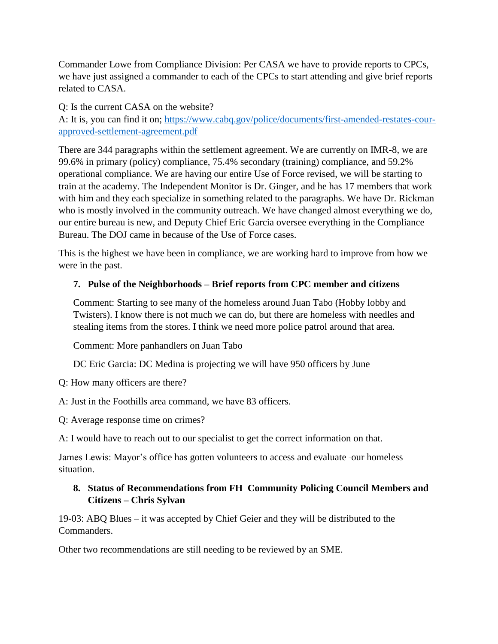Commander Lowe from Compliance Division: Per CASA we have to provide reports to CPCs, we have just assigned a commander to each of the CPCs to start attending and give brief reports related to CASA.

Q: Is the current CASA on the website?

A: It is, you can find it on; [https://www.cabq.gov/police/documents/first-amended-restates-cour](https://www.cabq.gov/police/documents/first-amended-restates-cour-approved-settlement-agreement.pdf)[approved-settlement-agreement.pdf](https://www.cabq.gov/police/documents/first-amended-restates-cour-approved-settlement-agreement.pdf)

There are 344 paragraphs within the settlement agreement. We are currently on IMR-8, we are 99.6% in primary (policy) compliance, 75.4% secondary (training) compliance, and 59.2% operational compliance. We are having our entire Use of Force revised, we will be starting to train at the academy. The Independent Monitor is Dr. Ginger, and he has 17 members that work with him and they each specialize in something related to the paragraphs. We have Dr. Rickman who is mostly involved in the community outreach. We have changed almost everything we do, our entire bureau is new, and Deputy Chief Eric Garcia oversee everything in the Compliance Bureau. The DOJ came in because of the Use of Force cases.

This is the highest we have been in compliance, we are working hard to improve from how we were in the past.

# **7. Pulse of the Neighborhoods – Brief reports from CPC member and citizens**

Comment: Starting to see many of the homeless around Juan Tabo (Hobby lobby and Twisters). I know there is not much we can do, but there are homeless with needles and stealing items from the stores. I think we need more police patrol around that area.

Comment: More panhandlers on Juan Tabo

DC Eric Garcia: DC Medina is projecting we will have 950 officers by June

Q: How many officers are there?

A: Just in the Foothills area command, we have 83 officers.

Q: Average response time on crimes?

A: I would have to reach out to our specialist to get the correct information on that.

James Lewis: Mayor's office has gotten volunteers to access and evaluate our homeless situation.

#### **8. Status of Recommendations from FH Community Policing Council Members and Citizens – Chris Sylvan**

19-03: ABQ Blues – it was accepted by Chief Geier and they will be distributed to the Commanders.

Other two recommendations are still needing to be reviewed by an SME.